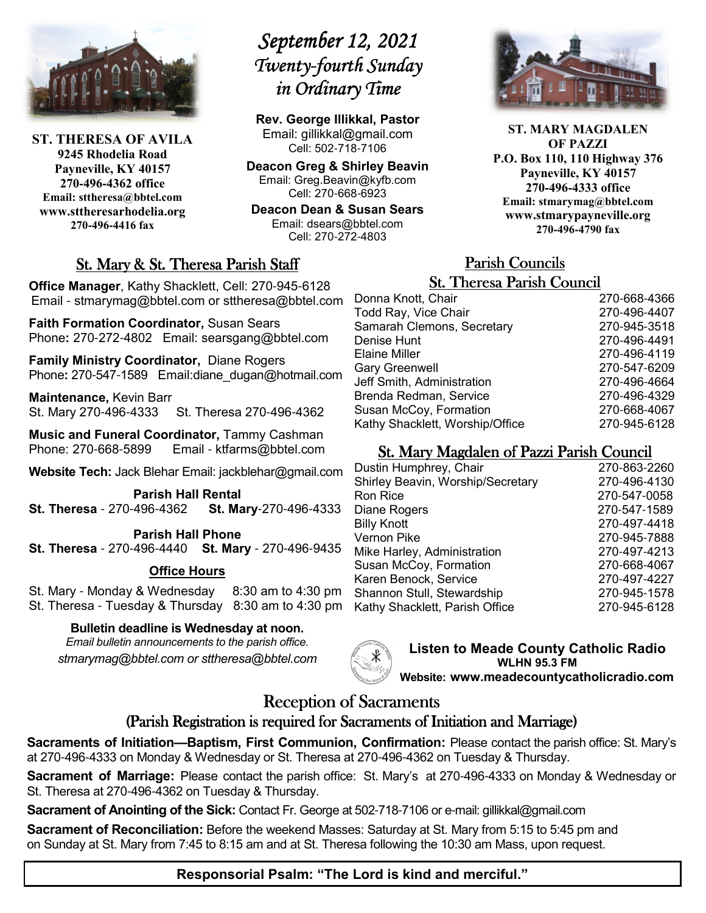

**ST. THERESA OF AVILA 9245 Rhodelia Road Payneville, KY 40157 270-496-4362 office Email: sttheresa@bbtel.com www.sttheresarhodelia.org 270-496-4416 fax**

# *September 12, 2021*  $Twenty$ -fourth Sunday *in Ordinary Time*

**Rev. George Illikkal, Pastor** Email: gillikkal@gmail.com Cell: 502-718-7106

**Deacon Greg & Shirley Beavin** Email: Greg.Beavin@kyfb.com Cell: 270-668-6923

**Deacon Dean & Susan Sears** Email: dsears@bbtel.com Cell: 270-272-4803

# St. Mary & St. Theresa Parish Staff

**Office Manager**, Kathy Shacklett, Cell: 270-945-6128 Email - stmarymag@bbtel.com or sttheresa@bbtel.com

**Faith Formation Coordinator,** Susan Sears Phone**:** 270-272-4802Email: searsgang@bbtel.com

**Family Ministry Coordinator,** Diane Rogers Phone**:** 270-547-1589 Email:diane\_dugan@hotmail.com

**Maintenance,** Kevin Barr St. Mary 270-496-4333 St. Theresa 270-496-4362

**Music and Funeral Coordinator,** Tammy Cashman Phone: 270-668-5899 Email - ktfarms@bbtel.com

**Website Tech:** Jack Blehar Email: jackblehar@gmail.com

**Parish Hall Rental St. Theresa** - 270-496-4362 **St. Mary**-270-496-4333

**Parish Hall Phone St. Theresa** - 270-496-4440 **St. Mary** - 270-496-9435

#### **Office Hours**

St. Mary - Monday & Wednesday 8:30 am to 4:30 pm St. Theresa - Tuesday & Thursday 8:30 am to 4:30 pm

#### **Bulletin deadline is Wednesday at noon.**

*Email bulletin announcements to the parish office. stmarymag@bbtel.com or sttheresa@bbtel.com*



**Listen to Meade County Catholic Radio WLHN 95.3 FM Website: www.meadecountycatholicradio.com**

# Reception of Sacraments

## (Parish Registration is required for Sacraments of Initiation and Marriage)

**Sacraments of Initiation—Baptism, First Communion, Confirmation:** Please contact the parish office: St. Mary's at 270-496-4333 on Monday & Wednesday or St. Theresa at 270-496-4362 on Tuesday & Thursday.

**Sacrament of Marriage:** Please contact the parish office: St. Mary's at 270-496-4333 on Monday & Wednesday or St. Theresa at 270-496-4362 on Tuesday & Thursday.

**Sacrament of Anointing of the Sick:** Contact Fr. George at 502-718-7106 or e-mail: gillikkal@gmail.com

**Sacrament of Reconciliation:** Before the weekend Masses: Saturday at St. Mary from 5:15 to 5:45 pm and on Sunday at St. Mary from 7:45 to 8:15 am and at St. Theresa following the 10:30 am Mass, upon request.



**ST. MARY MAGDALEN OF PAZZI P.O. Box 110, 110 Highway 376 Payneville, KY 40157 270-496-4333 office Email: stmarymag@bbtel.com www.stmarypayneville.org 270-496-4790 fax**

# Parish Councils Parish Councils

| <b>St. Theresa Parish Council</b> |              |  |
|-----------------------------------|--------------|--|
| Donna Knott, Chair                | 270-668-4366 |  |
| Todd Ray, Vice Chair              | 270-496-4407 |  |
| Samarah Clemons, Secretary        | 270-945-3518 |  |
| Denise Hunt                       | 270-496-4491 |  |
| Elaine Miller                     | 270-496-4119 |  |
| <b>Gary Greenwell</b>             | 270-547-6209 |  |
| Jeff Smith, Administration        | 270-496-4664 |  |
| Brenda Redman, Service            | 270-496-4329 |  |
| Susan McCoy, Formation            | 270-668-4067 |  |
| Kathy Shacklett, Worship/Office   | 270-945-6128 |  |

# St. Mary Magdalen of Pazzi Parish Council

| Dustin Humphrey, Chair            | 270-863-2260 |
|-----------------------------------|--------------|
| Shirley Beavin, Worship/Secretary | 270-496-4130 |
| Ron Rice                          | 270-547-0058 |
| Diane Rogers                      | 270-547-1589 |
| <b>Billy Knott</b>                | 270-497-4418 |
| Vernon Pike                       | 270-945-7888 |
| Mike Harley, Administration       | 270-497-4213 |
| Susan McCoy, Formation            | 270-668-4067 |
| Karen Benock, Service             | 270-497-4227 |
| Shannon Stull, Stewardship        | 270-945-1578 |
| Kathy Shacklett, Parish Office    | 270-945-6128 |
|                                   |              |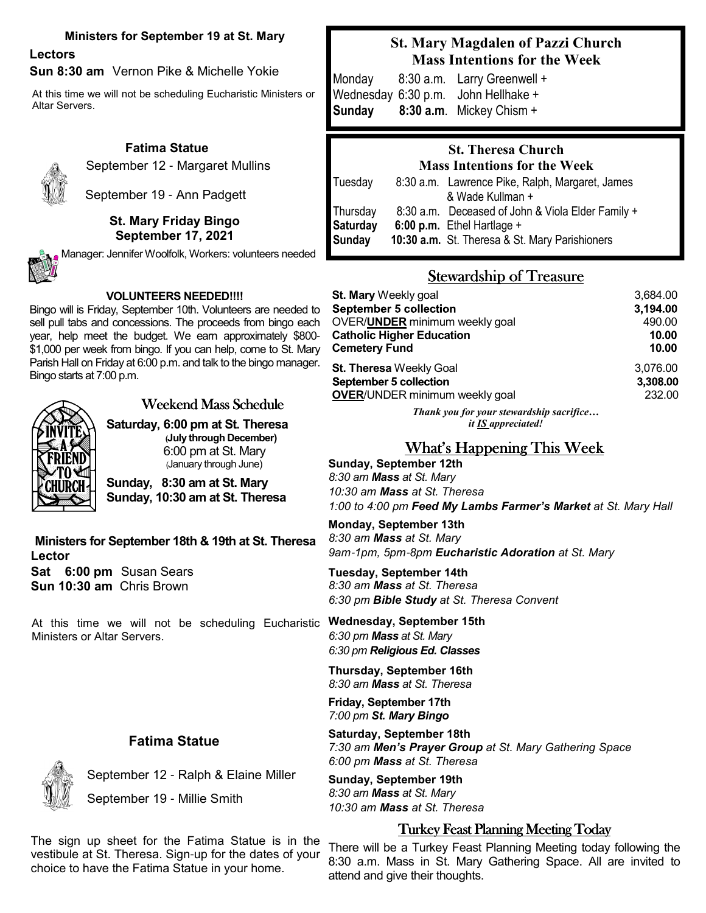#### **Ministers for September 19 at St. Mary**

# **Lectors**

**Sun 8:30 am** Vernon Pike & Michelle Yokie

At this time we will not be scheduling Eucharistic Ministers or Altar Servers.

#### **Fatima Statue**



September 12 - Margaret Mullins

September 19 - Ann Padgett

#### **St. Mary Friday Bingo September 17, 2021**



Manager: Jennifer Woolfolk, Workers: volunteers needed

#### **VOLUNTEERS NEEDED!!!!**

Bingo will is Friday, September 10th. Volunteers are needed to sell pull tabs and concessions. The proceeds from bingo each year, help meet the budget. We earn approximately \$800- \$1,000 per week from bingo. If you can help, come to St. Mary Parish Hall on Friday at 6:00 p.m. and talk to the bingo manager. Bingo starts at 7:00 p.m.



# Weekend Mass Schedule

**Saturday, 6:00 pm at St. Theresa (July through December)**  6:00 pm at St. Mary (January through June)

**Sunday, 8:30 am at St. Mary Sunday, 10:30 am at St. Theresa**

**Ministers for September 18th & 19th at St. Theresa Lector Sat 6:00 pm** Susan Sears **Sun 10:30 am** Chris Brown

**Wednesday, September 15th** At this time we will not be scheduling Eucharistic Ministers or Altar Servers.

### **Fatima Statue**

September 12 - Ralph & Elaine Miller

September 19 - Millie Smith

## **St. Mary Magdalen of Pazzi Church Mass Intentions for the Week**

Monday8:30 a.m. Larry Greenwell + Wednesday 6:30 p.m. John Hellhake + **Sunday 8:30 a.m**. Mickey Chism +

# **St. Theresa Church Mass Intentions for the Week** Tuesday 8:30 a.m. Lawrence Pike, Ralph, Margaret, James & Wade Kullman + Thursday 8:30 a.m. Deceased of John & Viola Elder Family + **Saturday 6:00 p.m.** Ethel Hartlage + **Sunday 10:30 a.m.** St. Theresa & St. Mary Parishioners

# Stewardship of Treasure

| St. Mary Weekly goal                   | 3,684.00 |
|----------------------------------------|----------|
| <b>September 5 collection</b>          | 3,194.00 |
| OVER/ <b>UNDER</b> minimum weekly goal | 490.00   |
| <b>Catholic Higher Education</b>       | 10.00    |
| <b>Cemetery Fund</b>                   | 10.00    |
| <b>St. Theresa Weekly Goal</b>         | 3.076.00 |
| September 5 collection                 | 3,308.00 |
| <b>OVER/UNDER minimum weekly goal</b>  | 232.00   |

*Thank you for your stewardship sacrifice… it IS appreciated!*

# What's Happening This Week

**Sunday, September 12th** *8:30 am Mass at St. Mary 10:30 am Mass at St. Theresa 1:00 to 4:00 pm Feed My Lambs Farmer's Market at St. Mary Hall* 

**Monday, September 13th** *8:30 am Mass at St. Mary 9am*-*1pm, 5pm*-*8pm Eucharistic Adoration at St. Mary*

**Tuesday, September 14th** *8:30 am Mass at St. Theresa 6:30 pm Bible Study at St. Theresa Convent*

*6:30 pm Mass at St. Mary 6:30 pm Religious Ed. Classes* 

**Thursday, September 16th** *8:30 am Mass at St. Theresa*

**Friday, September 17th** *7:00 pm St. Mary Bingo*

**Saturday, September 18th** *7:30 am Men's Prayer Group at St. Mary Gathering Space 6:00 pm Mass at St. Theresa*

**Sunday, September 19th** *8:30 am Mass at St. Mary 10:30 am Mass at St. Theresa*

### **Turkey Feast Planning Meeting Today**

The sign up sheet for the Fatima Statue is in the vestibule at St. Theresa. Sign-up for the dates of your choice to have the Fatima Statue in your home.

 There will be a Turkey Feast Planning Meeting today following the 8:30 a.m. Mass in St. Mary Gathering Space. All are invited to attend and give their thoughts.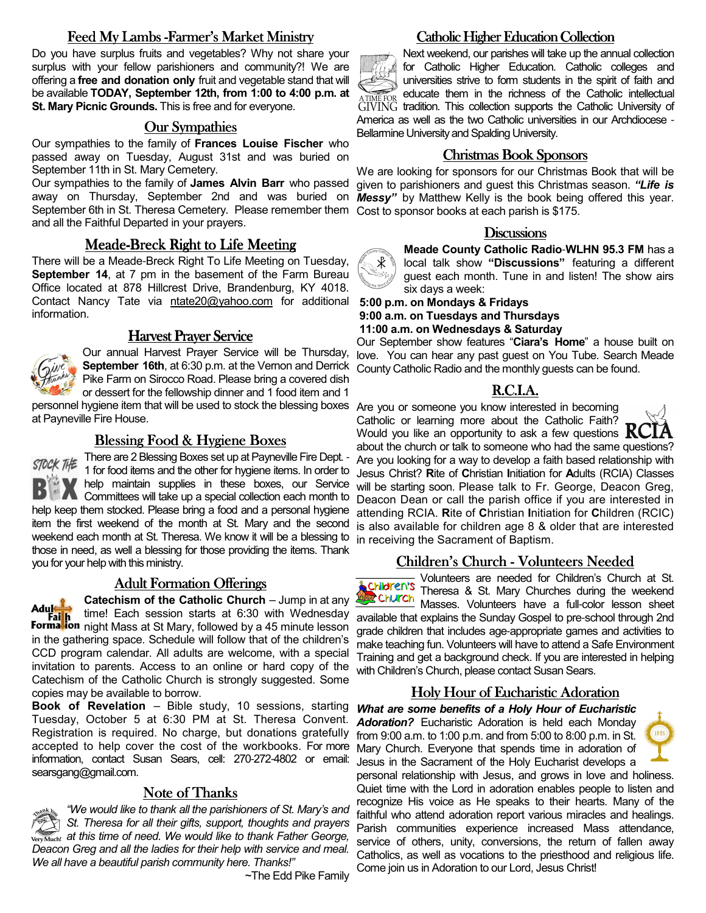## Feed My Lambs -Farmer's Market Ministry

Do you have surplus fruits and vegetables? Why not share your surplus with your fellow parishioners and community?! We are offering a **free and donation only** fruit and vegetable stand that will be available **TODAY, September 12th, from 1:00 to 4:00 p.m. at St. Mary Picnic Grounds.** This is free and for everyone.

#### Our Sympathies

Our sympathies to the family of **Frances Louise Fischer** who passed away on Tuesday, August 31st and was buried on September 11th in St. Mary Cemetery.

Our sympathies to the family of **James Alvin Barr** who passed away on Thursday, September 2nd and was buried on *Messy"* by Matthew Kelly is the book being offered this year. September 6th in St. Theresa Cemetery. Please remember them Cost to sponsor books at each parish is \$175. and all the Faithful Departed in your prayers.

#### Meade-Breck Right to Life Meeting

There will be a Meade-Breck Right To Life Meeting on Tuesday. **September 14, at 7 pm in the basement of the Farm Bureau** Office located at 878 Hillcrest Drive, Brandenburg, KY 4018. Contact Nancy Tate via ntate20@yahoo.com for additional information.

#### **Harvest Prayer Service**



Our annual Harvest Prayer Service will be Thursday, **September 16th**, at 6:30 p.m. at the Vernon and Derrick Pike Farm on Sirocco Road. Please bring a covered dish or dessert for the fellowship dinner and 1 food item and 1

personnel hygiene item that will be used to stock the blessing boxes Are you or someone you know interested in becoming at Payneville Fire House.

#### Blessing Food & Hygiene Boxes

STOCK THE There are 2 Blessing Boxes set up at Payneville Fire Dept. -1 for food items and the other for hygiene items. In order to **M** help maintain supplies in these boxes, our Service Committees will take up a special collection each month to help keep them stocked. Please bring a food and a personal hygiene item the first weekend of the month at St. Mary and the second weekend each month at St. Theresa. We know it will be a blessing to those in need, as well a blessing for those providing the items. Thank you for your help with this ministry.

#### Adult Formation Offerings

**Catechism of the Catholic Church – Jump in at any** Adul time! Each session starts at 6:30 with Wednesday **This is a media of the State State State State State Incomedia Control of The Tennish Tennish Tennish Tennish**<br>**Formation** night Mass at St Mary, followed by a 45 minute lesson in the gathering space. Schedule will follow that of the children's CCD program calendar. All adults are welcome, with a special invitation to parents. Access to an online or hard copy of the Catechism of the Catholic Church is strongly suggested. Some copies may be available to borrow.

**Book of Revelation** – Bible study, 10 sessions, starting Tuesday, October 5 at 6:30 PM at St. Theresa Convent. Registration is required. No charge, but donations gratefully from 9:00 a.m. to 1:00 p.m. and from 5:00 to 8:00 p.m. in St. accepted to help cover the cost of the workbooks. For more information, contact Susan Sears, cell: 270-272-4802 or email: searsgang@gmail.com.

#### Note of Thanks

*"We would like to thank all the parishioners of St. Mary's and St. Theresa for all their gifts, support, thoughts and prayers ATHERFTH VET MULTS incered. We would like to thank Father George, Deacon Greg and all the ladies for their help with service and meal. We all have a beautiful parish community here. Thanks!"* 

~The Edd Pike Family

#### Catholic Higher Education Collection Catholic Higher

Next weekend, our parishes will take up the annual collection for Catholic Higher Education. Catholic colleges and universities strive to form students in the spirit of faith and ATTME FOR educate them in the richness of the Catholic intellectual  $GIVING$  tradition. This collection supports the Catholic University of America as well as the two Catholic universities in our Archdiocese - Bellarmine University and Spalding University.

#### Christmas Book Sponsors

We are looking for sponsors for our Christmas Book that will be given to parishioners and guest this Christmas season. *"Life is* 

#### **Discussions**



**Meade County Catholic Radio**-**WLHN 95.3 FM** has a local talk show **"Discussions"** featuring a different guest each month. Tune in and listen! The show airs six days a week:

#### **5:00 p.m. on Mondays & Fridays 9:00 a.m. on Tuesdays and Thursdays 11:00 a.m. on Wednesdays & Saturday**

Our September show features "**Ciara's Home**" a house built on love. You can hear any past guest on You Tube. Search Meade County Catholic Radio and the monthly guests can be found.

#### R.C.I.A.

Catholic or learning more about the Catholic Faith? Would you like an opportunity to ask a few questions  $KC$ 



about the church or talk to someone who had the same questions? Are you looking for a way to develop a faith based relationship with Jesus Christ? **R**ite of **C**hristian **I**nitiation for **A**dults (RCIA) Classes will be starting soon. Please talk to Fr. George, Deacon Greg, Deacon Dean or call the parish office if you are interested in attending RCIA. **R**ite of **C**hristian **I**nitiation for **C**hildren (RCIC) is also available for children age 8 & older that are interested in receiving the Sacrament of Baptism.

#### Children's Church - Volunteers Needed



Volunteers are needed for Children's Church at St. Theresa & St. Mary Churches during the weekend Church Illienes a of their streams sheet<br>Masses. Volunteers have a full-color lesson sheet available that explains the Sunday Gospel to pre-school through 2nd

grade children that includes age-appropriate games and activities to make teaching fun. Volunteers will have to attend a Safe Environment Training and get a background check. If you are interested in helping with Children's Church, please contact Susan Sears.

## Holy Hour of Eucharistic Adoration

*What are some benefits of a Holy Hour of Eucharistic Adoration?* Eucharistic Adoration is held each Monday Mary Church. Everyone that spends time in adoration of Jesus in the Sacrament of the Holy Eucharist develops a

personal relationship with Jesus, and grows in love and holiness. Quiet time with the Lord in adoration enables people to listen and recognize His voice as He speaks to their hearts. Many of the faithful who attend adoration report various miracles and healings. Parish communities experience increased Mass attendance, service of others, unity, conversions, the return of fallen away Catholics, as well as vocations to the priesthood and religious life. Come join us in Adoration to our Lord, Jesus Christ!